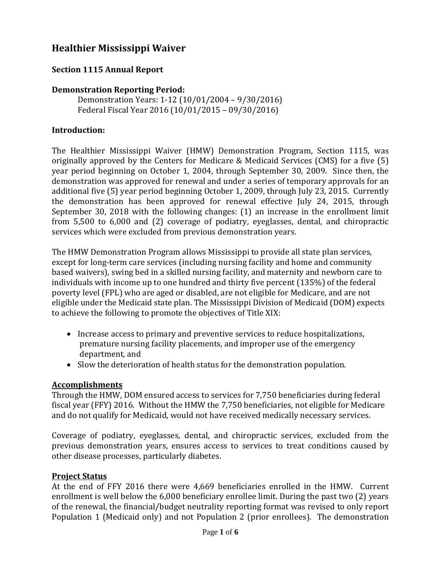# **Healthier Mississippi Waiver**

# **Section 1115 Annual Report**

## **Demonstration Reporting Period:**

Demonstration Years: 1-12 (10/01/2004 – 9/30/2016) Federal Fiscal Year 2016 (10/01/2015 – 09/30/2016)

## **Introduction:**

The Healthier Mississippi Waiver (HMW) Demonstration Program, Section 1115, was originally approved by the Centers for Medicare & Medicaid Services (CMS) for a five (5) year period beginning on October 1, 2004, through September 30, 2009. Since then, the demonstration was approved for renewal and under a series of temporary approvals for an additional five (5) year period beginning October 1, 2009, through July 23, 2015. Currently the demonstration has been approved for renewal effective July 24, 2015, through September 30, 2018 with the following changes: (1) an increase in the enrollment limit from 5,500 to 6,000 and (2) coverage of podiatry, eyeglasses, dental, and chiropractic services which were excluded from previous demonstration years.

The HMW Demonstration Program allows Mississippi to provide all state plan services, except for long-term care services (including nursing facility and home and community based waivers), swing bed in a skilled nursing facility, and maternity and newborn care to individuals with income up to one hundred and thirty five percent (135%) of the federal poverty level (FPL) who are aged or disabled, are not eligible for Medicare, and are not eligible under the Medicaid state plan. The Mississippi Division of Medicaid (DOM) expects to achieve the following to promote the objectives of Title XIX:

- Increase access to primary and preventive services to reduce hospitalizations, premature nursing facility placements, and improper use of the emergency department, and
- Slow the deterioration of health status for the demonstration population.

# **Accomplishments**

Through the HMW, DOM ensured access to services for 7,750 beneficiaries during federal fiscal year (FFY) 2016. Without the HMW the 7,750 beneficiaries, not eligible for Medicare and do not qualify for Medicaid, would not have received medically necessary services.

Coverage of podiatry, eyeglasses, dental, and chiropractic services, excluded from the previous demonstration years, ensures access to services to treat conditions caused by other disease processes, particularly diabetes.

#### **Project Status**

At the end of FFY 2016 there were 4,669 beneficiaries enrolled in the HMW. Current enrollment is well below the 6,000 beneficiary enrollee limit. During the past two (2) years of the renewal, the financial/budget neutrality reporting format was revised to only report Population 1 (Medicaid only) and not Population 2 (prior enrollees). The demonstration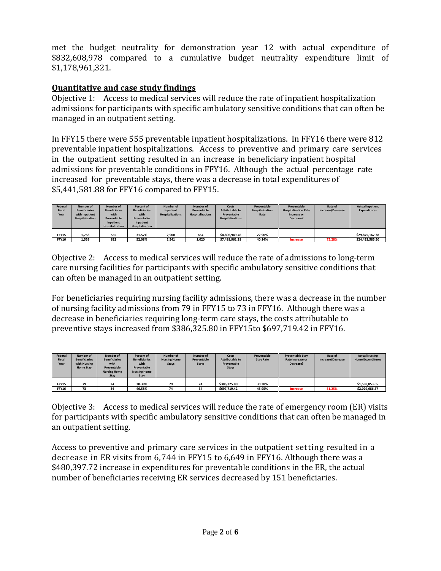met the budget neutrality for demonstration year 12 with actual expenditure of \$832,608,978 compared to a cumulative budget neutrality expenditure limit of \$1,178,961,321.

# **Quantitative and case study findings**

Objective 1: Access to medical services will reduce the rate of inpatient hospitalization admissions for participants with specific ambulatory sensitive conditions that can often be managed in an outpatient setting.

In FFY15 there were 555 preventable inpatient hospitalizations. In FFY16 there were 812 preventable inpatient hospitalizations. Access to preventive and primary care services in the outpatient setting resulted in an increase in beneficiary inpatient hospital admissions for preventable conditions in FFY16. Although the actual percentage rate increased for preventable stays, there was a decrease in total expenditures of \$5,441,581.88 for FFY16 compared to FFY15.

| Federal<br>Fiscal<br>Year | Number of<br><b>Beneficiaries</b><br>with Inpatient<br><b>Hospitalization</b> | Number of<br><b>Beneficiaries</b><br>with<br>Preventable<br>Inpatient<br>Hospitalization | Percent of<br><b>Beneficiaries</b><br>with<br>Preventable<br>Inpatient<br>Hospitalization | Number of<br>Inpatient<br><b>Hospitalizations</b> | Number of<br>Preventable<br><b>Hospitalizations</b> | Costs<br><b>Attributable to</b><br>Preventable<br><b>Hospitalizations</b> | Preventable<br>Hospitalization<br>Rate | Preventable<br><b>Hospitalization Rate</b><br>Increase or<br>Decrease? | Rate of<br>Increase/Decrease | <b>Actual Inpatient</b><br><b>Expenditures</b> |
|---------------------------|-------------------------------------------------------------------------------|------------------------------------------------------------------------------------------|-------------------------------------------------------------------------------------------|---------------------------------------------------|-----------------------------------------------------|---------------------------------------------------------------------------|----------------------------------------|------------------------------------------------------------------------|------------------------------|------------------------------------------------|
| FFY15<br>FFY16            | 1.758<br>1,559                                                                | 555<br>812                                                                               | 31.57%<br>52.08%                                                                          | 2.900<br>2,541                                    | 664<br>1,020                                        | \$4,896,949.46<br>\$7.488.961.38                                          | 22.90%<br>40.14%                       | Increase                                                               | 75.28%                       | \$29.875.167.38<br>\$24,433,585.50             |

Objective 2: Access to medical services will reduce the rate of admissions to long-term care nursing facilities for participants with specific ambulatory sensitive conditions that can often be managed in an outpatient setting.

For beneficiaries requiring nursing facility admissions, there was a decrease in the number of nursing facility admissions from 79 in FFY15 to 73 in FFY16. Although there was a decrease in beneficiaries requiring long-term care stays, the costs attributable to preventive stays increased from \$386,325.80 in FFY15to \$697,719.42 in FFY16.

| Federal<br>Fiscal<br>Year | Number of<br><b>Beneficiaries</b><br>with Nursing<br><b>Home Stav</b> | Number of<br><b>Beneficiaries</b><br>with<br>Preventable<br><b>Nursing Home</b><br>Stay | Percent of<br><b>Beneficiaries</b><br>with<br>Preventable<br><b>Nursing Home</b><br>Stay | Number of<br><b>Nursing Home</b><br><b>Stays</b> | Number of<br>Preventable<br><b>Stays</b> | Costs<br><b>Attributable to</b><br>Preventable<br><b>Stays</b> | Preventable<br><b>Stav Rate</b> | <b>Preventable Stav</b><br>Rate Increase or<br>Decrease? | Rate of<br>Increase/Decrease | <b>Actual Nursing</b><br><b>Home Expenditures</b> |
|---------------------------|-----------------------------------------------------------------------|-----------------------------------------------------------------------------------------|------------------------------------------------------------------------------------------|--------------------------------------------------|------------------------------------------|----------------------------------------------------------------|---------------------------------|----------------------------------------------------------|------------------------------|---------------------------------------------------|
| FFY15<br>FFY16            | 79<br>73                                                              | 24<br>34                                                                                | 30.38%<br>46.58%                                                                         | 79<br>74                                         | 24<br>34                                 | \$386.325.80<br>\$697.719.42                                   | 30.38%<br>45.95%                | Increase                                                 | 51.25%                       | \$1.588.853.65<br>\$2,029,686.57                  |

Objective 3: Access to medical services will reduce the rate of emergency room (ER) visits for participants with specific ambulatory sensitive conditions that can often be managed in an outpatient setting.

Access to preventive and primary care services in the outpatient setting resulted in a decrease in ER visits from 6,744 in FFY15 to 6,649 in FFY16. Although there was a \$480,397.72 increase in expenditures for preventable conditions in the ER, the actual number of beneficiaries receiving ER services decreased by 151 beneficiaries.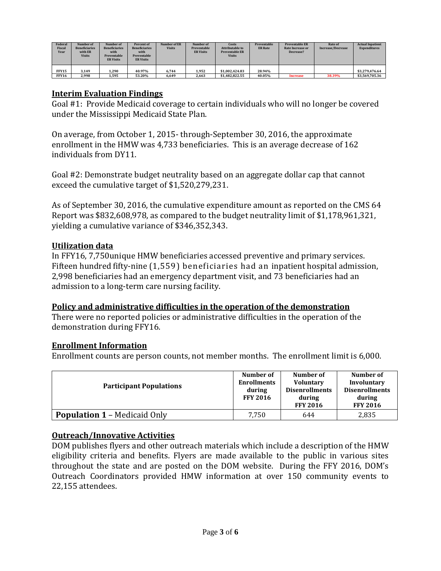| Federal<br>Fiscal<br>Year | Number of<br><b>Beneficiaries</b><br>with ER<br>Visits | Number of<br><b>Beneficiaries</b><br>with<br>Preventable<br><b>ER Visits</b> | Percent of<br><b>Beneficiaries</b><br>with<br>Preventable<br><b>ER Visits</b> | Number of ER<br><b>Visits</b> | Number of<br>Preventable<br><b>ER Visits</b> | Costs<br><b>Attributable to</b><br><b>Preventable ER</b><br><b>Visits</b> | Preventable<br><b>ER Rate</b> | <b>Preventable ER</b><br>Rate Increase or<br>Decrease? | <b>Rate of</b><br>Increase/Decrease | <b>Actual Inpatient</b><br><b>Expenditures</b> |
|---------------------------|--------------------------------------------------------|------------------------------------------------------------------------------|-------------------------------------------------------------------------------|-------------------------------|----------------------------------------------|---------------------------------------------------------------------------|-------------------------------|--------------------------------------------------------|-------------------------------------|------------------------------------------------|
| FFY15                     | 3.149                                                  | 1.290                                                                        | 40.97%                                                                        | 6.744                         | 1,952                                        | \$1.002.424.83                                                            | 28.94%                        |                                                        |                                     | \$3.279.476.64                                 |
| <b>FFY16</b>              | 2.998                                                  | 1,595                                                                        | 53.20%                                                                        | 6,649                         | 2,663                                        | \$1.482.822.55                                                            | 40.05%                        | <b>Increase</b>                                        | 38.39%                              | \$3,569,705.36                                 |

#### **Interim Evaluation Findings**

Goal #1: Provide Medicaid coverage to certain individuals who will no longer be covered under the Mississippi Medicaid State Plan.

On average, from October 1, 2015- through-September 30, 2016, the approximate enrollment in the HMW was 4,733 beneficiaries. This is an average decrease of 162 individuals from DY11.

Goal #2: Demonstrate budget neutrality based on an aggregate dollar cap that cannot exceed the cumulative target of \$1,520,279,231.

As of September 30, 2016, the cumulative expenditure amount as reported on the CMS 64 Report was \$832,608,978, as compared to the budget neutrality limit of \$1,178,961,321, yielding a cumulative variance of \$346,352,343.

#### **Utilization data**

In FFY16, 7,750unique HMW beneficiaries accessed preventive and primary services. Fifteen hundred fifty-nine (1,559) beneficiaries had an inpatient hospital admission, 2,998 beneficiaries had an emergency department visit, and 73 beneficiaries had an admission to a long-term care nursing facility.

#### **Policy and administrative difficulties in the operation of the demonstration**

There were no reported policies or administrative difficulties in the operation of the demonstration during FFY16.

#### **Enrollment Information**

Enrollment counts are person counts, not member months. The enrollment limit is 6,000.

| <b>Participant Populations</b>      | Number of<br><b>Enrollments</b><br>during<br><b>FFY 2016</b> | Number of<br><b>Voluntary</b><br><b>Disenrollments</b><br>during<br><b>FFY 2016</b> | Number of<br>Involuntary<br><b>Disenrollments</b><br>during<br><b>FFY 2016</b> |
|-------------------------------------|--------------------------------------------------------------|-------------------------------------------------------------------------------------|--------------------------------------------------------------------------------|
| <b>Population 1 – Medicaid Only</b> | 7.750                                                        | 644                                                                                 | 2,835                                                                          |

# **Outreach/Innovative Activities**

DOM publishes flyers and other outreach materials which include a description of the HMW eligibility criteria and benefits. Flyers are made available to the public in various sites throughout the state and are posted on the DOM website. During the FFY 2016, DOM's Outreach Coordinators provided HMW information at over 150 community events to 22,155 attendees.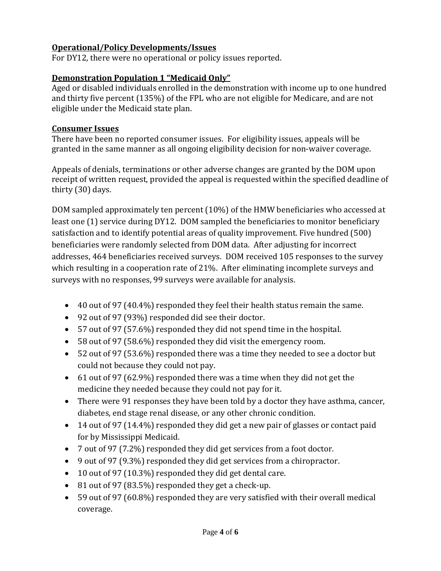# **Operational/Policy Developments/Issues**

For DY12, there were no operational or policy issues reported.

# **Demonstration Population 1 "Medicaid Only"**

Aged or disabled individuals enrolled in the demonstration with income up to one hundred and thirty five percent (135%) of the FPL who are not eligible for Medicare, and are not eligible under the Medicaid state plan.

### **Consumer Issues**

There have been no reported consumer issues. For eligibility issues, appeals will be granted in the same manner as all ongoing eligibility decision for non-waiver coverage.

Appeals of denials, terminations or other adverse changes are granted by the DOM upon receipt of written request, provided the appeal is requested within the specified deadline of thirty (30) days.

DOM sampled approximately ten percent (10%) of the HMW beneficiaries who accessed at least one (1) service during DY12. DOM sampled the beneficiaries to monitor beneficiary satisfaction and to identify potential areas of quality improvement. Five hundred (500) beneficiaries were randomly selected from DOM data. After adjusting for incorrect addresses, 464 beneficiaries received surveys. DOM received 105 responses to the survey which resulting in a cooperation rate of 21%. After eliminating incomplete surveys and surveys with no responses, 99 surveys were available for analysis.

- 40 out of 97 (40.4%) responded they feel their health status remain the same.
- 92 out of 97 (93%) responded did see their doctor.
- 57 out of 97 (57.6%) responded they did not spend time in the hospital.
- 58 out of 97 (58.6%) responded they did visit the emergency room.
- 52 out of 97 (53.6%) responded there was a time they needed to see a doctor but could not because they could not pay.
- 61 out of 97 (62.9%) responded there was a time when they did not get the medicine they needed because they could not pay for it.
- There were 91 responses they have been told by a doctor they have asthma, cancer, diabetes, end stage renal disease, or any other chronic condition.
- 14 out of 97 (14.4%) responded they did get a new pair of glasses or contact paid for by Mississippi Medicaid.
- 7 out of 97 (7.2%) responded they did get services from a foot doctor.
- 9 out of 97 (9.3%) responded they did get services from a chiropractor.
- 10 out of 97 (10.3%) responded they did get dental care.
- 81 out of 97 (83.5%) responded they get a check-up.
- 59 out of 97 (60.8%) responded they are very satisfied with their overall medical coverage.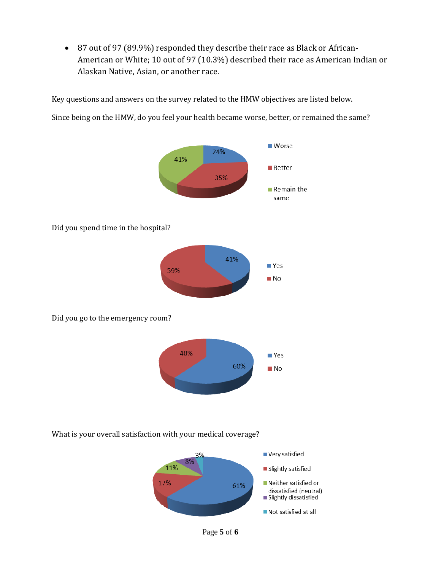• 87 out of 97 (89.9%) responded they describe their race as Black or African-American or White; 10 out of 97 (10.3%) described their race as American Indian or Alaskan Native, Asian, or another race.

Key questions and answers on the survey related to the HMW objectives are listed below.

Since being on the HMW, do you feel your health became worse, better, or remained the same?



What is your overall satisfaction with your medical coverage?



Page **5** of **6**